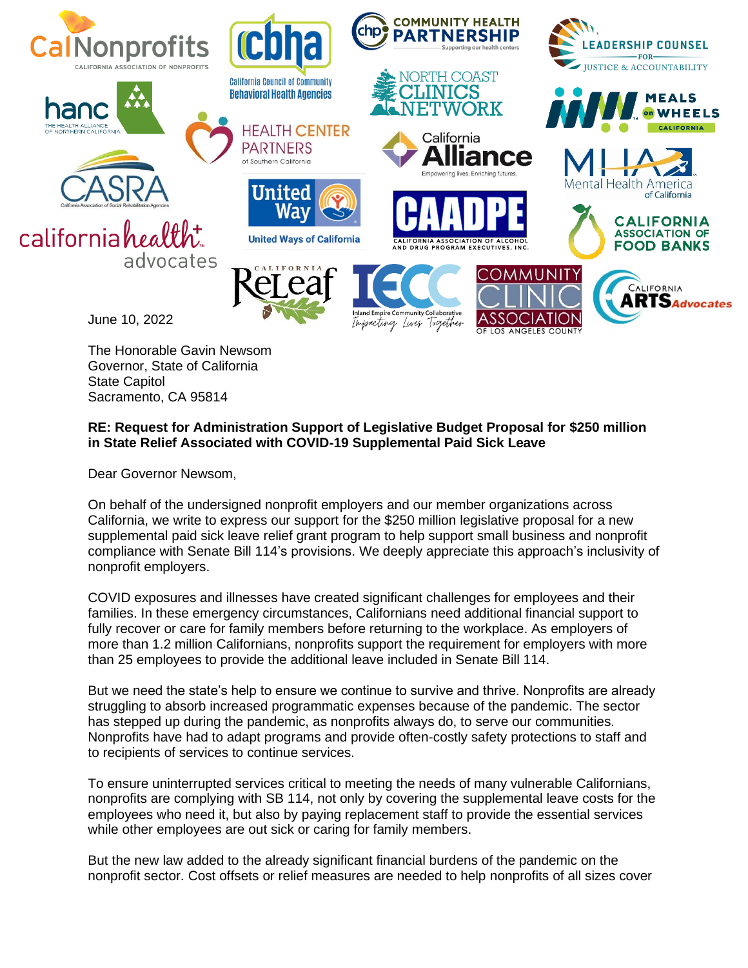

The Honorable Gavin Newsom Governor, State of California State Capitol Sacramento, CA 95814

## **RE: Request for Administration Support of Legislative Budget Proposal for \$250 million in State Relief Associated with COVID-19 Supplemental Paid Sick Leave**

Dear Governor Newsom,

On behalf of the undersigned nonprofit employers and our member organizations across California, we write to express our support for the \$250 million legislative proposal for a new supplemental paid sick leave relief grant program to help support small business and nonprofit compliance with Senate Bill 114's provisions. We deeply appreciate this approach's inclusivity of nonprofit employers.

COVID exposures and illnesses have created significant challenges for employees and their families. In these emergency circumstances, Californians need additional financial support to fully recover or care for family members before returning to the workplace. As employers of more than 1.2 million Californians, nonprofits support the requirement for employers with more than 25 employees to provide the additional leave included in Senate Bill 114.

But we need the state's help to ensure we continue to survive and thrive. Nonprofits are already struggling to absorb increased programmatic expenses because of the pandemic. The sector has stepped up during the pandemic, as nonprofits always do, to serve our communities. Nonprofits have had to adapt programs and provide often-costly safety protections to staff and to recipients of services to continue services.

To ensure uninterrupted services critical to meeting the needs of many vulnerable Californians, nonprofits are complying with SB 114, not only by covering the supplemental leave costs for the employees who need it, but also by paying replacement staff to provide the essential services while other employees are out sick or caring for family members.

But the new law added to the already significant financial burdens of the pandemic on the nonprofit sector. Cost offsets or relief measures are needed to help nonprofits of all sizes cover